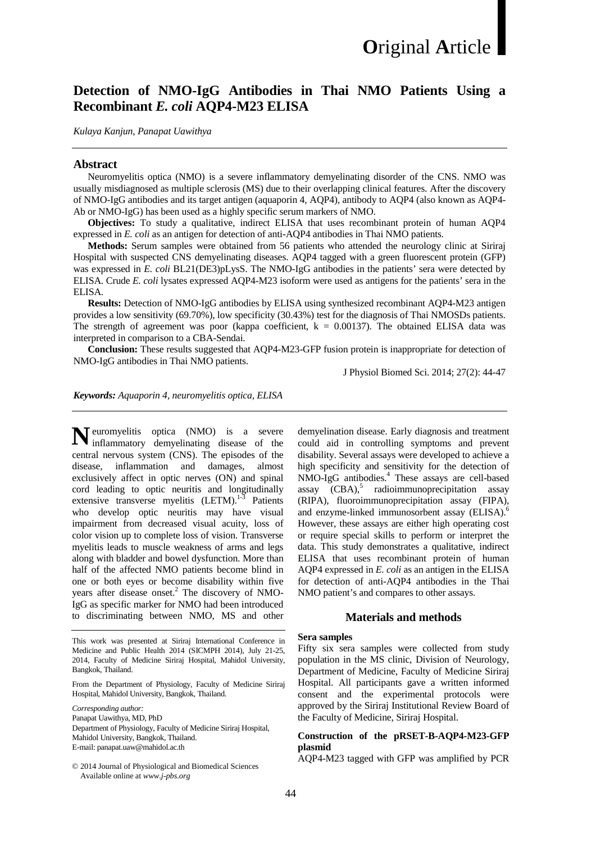# **Detection of NMO-IgG Antibodies in Thai NMO Patients Using a Recombinant** *E. coli* **AQP4-M23 ELISA**

*Kulaya Kanjun, Panapat Uawithya*

#### **Abstract**

Neuromyelitis optica (NMO) is a severe inflammatory demyelinating disorder of the CNS. NMO was usually misdiagnosed as multiple sclerosis (MS) due to their overlapping clinical features. After the discovery of NMO-IgG antibodies and its target antigen (aquaporin 4, AQP4), antibody to AQP4 (also known as AQP4- Ab or NMO-IgG) has been used as a highly specific serum markers of NMO.

**Objectives:** To study a qualitative, indirect ELISA that uses recombinant protein of human AQP4 expressed in *E. coli* as an antigen for detection of anti-AQP4 antibodies in Thai NMO patients.

**Methods:** Serum samples were obtained from 56 patients who attended the neurology clinic at Siriraj Hospital with suspected CNS demyelinating diseases. AQP4 tagged with a green fluorescent protein (GFP) was expressed in *E. coli* BL21(DE3)pLysS. The NMO-IgG antibodies in the patients' sera were detected by ELISA. Crude *E. coli* lysates expressed AQP4-M23 isoform were used as antigens for the patients' sera in the ELISA.

**Results:** Detection of NMO-IgG antibodies by ELISA using synthesized recombinant AQP4-M23 antigen provides a low sensitivity (69.70%), low specificity (30.43%) test for the diagnosis of Thai NMOSDs patients. The strength of agreement was poor (kappa coefficient,  $k = 0.00137$ ). The obtained ELISA data was interpreted in comparison to a CBA-Sendai.

**Conclusion:** These results suggested that AQP4-M23-GFP fusion protein is inappropriate for detection of NMO-IgG antibodies in Thai NMO patients.

J Physiol Biomed Sci. 2014; 27(2): 44-47

*Keywords: Aquaporin 4, neuromyelitis optica, ELISA*

euromyelitis optica (NMO) is a severe **N**inflammatory demyelinating disease of the central nervous system (CNS). The episodes of the disease, inflammation and damages, almost exclusively affect in optic nerves (ON) and spinal cord leading to optic neuritis and longitudinally extensive transverse myelitis (LETM).<sup>1-3</sup> Patients who develop optic neuritis may have visual impairment from decreased visual acuity, loss of color vision up to complete loss of vision. Transverse myelitis leads to muscle weakness of arms and legs along with bladder and bowel dysfunction. More than half of the affected NMO patients become blind in one or both eyes or become disability within five years after disease onset. <sup>2</sup> The discovery of NMO-IgG as specific marker for NMO had been introduced to discriminating between NMO, MS and other

This work was presented at Siriraj International Conference in Medicine and Public Health 2014 (SICMPH 2014), July 21-25, 2014, Faculty of Medicine Siriraj Hospital, Mahidol University, Bangkok, Thailand.

From the Department of Physiology, Faculty of Medicine Siriraj Hospital, Mahidol University, Bangkok, Thailand.

*Corresponding author:*

Panapat Uawithya, MD, PhD

Department of Physiology, Faculty of Medicine Siriraj Hospital, Mahidol University, Bangkok, Thailand. E-mail: panapat.uaw@mahidol.ac.th

© 2014 Journal of Physiological and Biomedical Sciences Available online at *www.j-pbs.org*

demyelination disease. Early diagnosis and treatment could aid in controlling symptoms and prevent disability. Several assays were developed to achieve a high specificity and sensitivity for the detection of NMO-IgG antibodies. <sup>4</sup> These assays are cell-based assay (CBA), <sup>5</sup> radioimmunoprecipitation assay (RIPA), fluoroimmunoprecipitation assay (FIPA), and enzyme-linked immunosorbent assay (ELISA). 6 However, these assays are either high operating cost or require special skills to perform or interpret the data. This study demonstrates a qualitative, indirect ELISA that uses recombinant protein of human AQP4 expressed in *E. coli* as an antigen in the ELISA for detection of anti-AQP4 antibodies in the Thai NMO patient's and compares to other assays.

#### **Materials and methods**

#### **Sera samples**

Fifty six sera samples were collected from study population in the MS clinic, Division of Neurology, Department of Medicine, Faculty of Medicine Siriraj Hospital. All participants gave a written informed consent and the experimental protocols were approved by the Siriraj Institutional Review Board of the Faculty of Medicine, Siriraj Hospital.

## **Construction of the pRSET-B-AQP4-M23-GFP plasmid**

AQP4-M23 tagged with GFP was amplified by PCR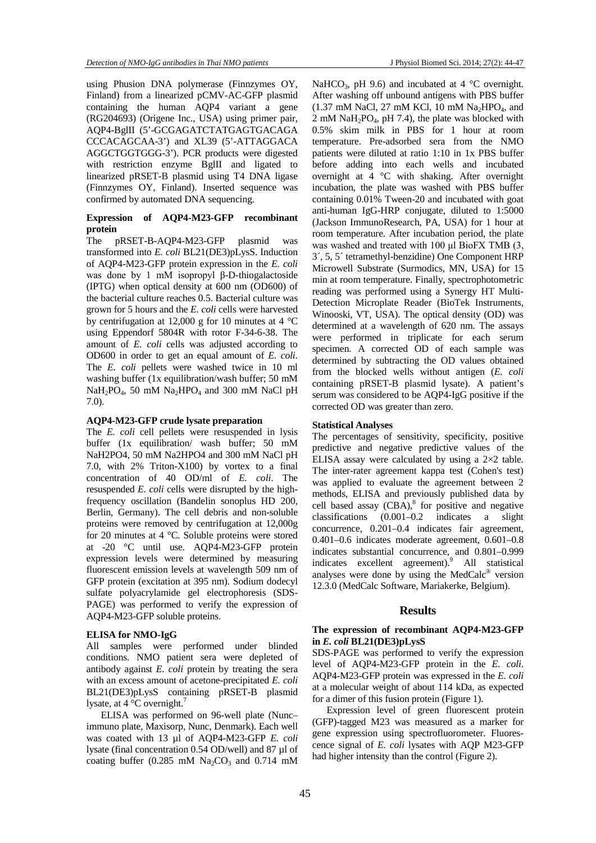using Phusion DNA polymerase (Finnzymes OY, Finland) from a linearized pCMV-AC-GFP plasmid containing the human AQP4 variant a gene (RG204693) (Origene Inc., USA) using primer pair, AQP4-BglII (5'-GCGAGATCTATGAGTGACAGA CCCACAGCAA-3') and XL39 (5'-ATTAGGACA AGGCTGGTGGG-3'). PCR products were digested with restriction enzyme BglII and ligated to linearized pRSET-B plasmid using T4 DNA ligase (Finnzymes OY, Finland). Inserted sequence was confirmed by automated DNA sequencing.

# **Expression of AQP4-M23-GFP recombinant protein**

The pRSET-B-AQP4-M23-GFP plasmid was transformed into *E. coli* BL21(DE3)pLysS. Induction of AQP4-M23-GFP protein expression in the *E. coli* was done by 1 mM isopropyl β-D-thiogalactoside (IPTG) when optical density at 600 nm (OD600) of the bacterial culture reaches 0.5. Bacterial culture was grown for 5 hours and the *E. coli* cells were harvested by centrifugation at 12,000 g for 10 minutes at 4 °C using Eppendorf 5804R with rotor F-34-6-38. The amount of *E. coli* cells was adjusted according to OD600 in order to get an equal amount of *E. coli*. The *E. coli* pellets were washed twice in 10 ml washing buffer (1x equilibration/wash buffer; 50 mM NaH<sub>2</sub>PO<sub>4</sub>, 50 mM Na<sub>2</sub>HPO<sub>4</sub> and 300 mM NaCl pH 7.0).

## **AQP4-M23-GFP crude lysate preparation**

The *E. coli* cell pellets were resuspended in lysis buffer (1x equilibration/ wash buffer; 50 mM NaH2PO4, 50 mM Na2HPO4 and 300 mM NaCl pH 7.0, with 2% Triton-X100) by vortex to a final concentration of 40 OD/ml of *E. coli*. The resuspended *E. coli* cells were disrupted by the highfrequency oscillation (Bandelin sonoplus HD 200, Berlin, Germany). The cell debris and non-soluble proteins were removed by centrifugation at 12,000g for 20 minutes at 4 °C. Soluble proteins were stored at -20 °C until use. AQP4-M23-GFP protein expression levels were determined by measuring fluorescent emission levels at wavelength 509 nm of GFP protein (excitation at 395 nm). Sodium dodecyl sulfate polyacrylamide gel electrophoresis (SDS-PAGE) was performed to verify the expression of AQP4-M23-GFP soluble proteins.

#### **ELISA for NMO-IgG**

All samples were performed under blinded conditions. NMO patient sera were depleted of antibody against *E. coli* protein by treating the sera with an excess amount of acetone-precipitated *E. coli* BL21(DE3)pLysS containing pRSET-B plasmid lysate, at  $4^{\circ}$ C overnight.<sup>7</sup>

ELISA was performed on 96-well plate (Nunc– immuno plate, Maxisorp, Nunc, Denmark). Each well was coated with 13 µl of AQP4-M23-GFP *E. coli* lysate (final concentration 0.54 OD/well) and 87 µl of coating buffer (0.285 mM  $Na<sub>2</sub>CO<sub>3</sub>$  and 0.714 mM NaHCO<sub>3</sub>, pH 9.6) and incubated at 4  $^{\circ}$ C overnight. After washing off unbound antigens with PBS buffer  $(1.37 \text{ mM NaCl}, 27 \text{ mM KCl}, 10 \text{ mM Na}_2\text{HPO}_4, \text{ and }$ 2 mM NaH<sub>2</sub>PO<sub>4</sub>, pH 7.4), the plate was blocked with 0.5% skim milk in PBS for 1 hour at room temperature. Pre-adsorbed sera from the NMO patients were diluted at ratio 1:10 in 1x PBS buffer before adding into each wells and incubated overnight at 4 °C with shaking. After overnight incubation, the plate was washed with PBS buffer containing 0.01% Tween-20 and incubated with goat anti-human IgG-HRP conjugate, diluted to 1:5000 (Jackson ImmunoResearch, PA, USA) for 1 hour at room temperature. After incubation period, the plate was washed and treated with 100 μl BioFX TMB (3, 3´, 5, 5´ tetramethyl-benzidine) One Component HRP Microwell Substrate (Surmodics, MN, USA) for 15 min at room temperature. Finally, spectrophotometric reading was performed using a Synergy HT Multi-Detection Microplate Reader (BioTek Instruments, Winooski, VT, USA). The optical density (OD) was determined at a wavelength of 620 nm. The assays were performed in triplicate for each serum specimen. A corrected OD of each sample was determined by subtracting the OD values obtained from the blocked wells without antigen (*E. coli* containing pRSET-B plasmid lysate). A patient's serum was considered to be AQP4-IgG positive if the corrected OD was greater than zero.

#### **Statistical Analyses**

The percentages of sensitivity, specificity, positive predictive and negative predictive values of the ELISA assay were calculated by using a 2×2 table. The inter-rater agreement kappa test (Cohen's test) was applied to evaluate the agreement between 2 methods, ELISA and previously published data by cell based assay  $(CBA)$ ,<sup>8</sup> for positive and negative classifications (0.001–0.2 indicates a slight concurrence, 0.201–0.4 indicates fair agreement, 0.401–0.6 indicates moderate agreement, 0.601–0.8 indicates substantial concurrence, and 0.801–0.999 indicates excellent agreement).<sup>9</sup> All statistical analyses were done by using the MedCalc® version 12.3.0 (MedCalc Software, Mariakerke, Belgium).

#### **Results**

#### **The expression of recombinant AQP4-M23-GFP in** *E. coli* **BL21(DE3)pLysS**

SDS-PAGE was performed to verify the expression level of AQP4-M23-GFP protein in the *E. coli*. AQP4-M23-GFP protein was expressed in the *E. coli* at a molecular weight of about 114 kDa, as expected for a dimer of this fusion protein (Figure 1).

Expression level of green fluorescent protein (GFP)-tagged M23 was measured as a marker for gene expression using spectrofluorometer. Fluorescence signal of *E. coli* lysates with AQP M23-GFP had higher intensity than the control (Figure 2).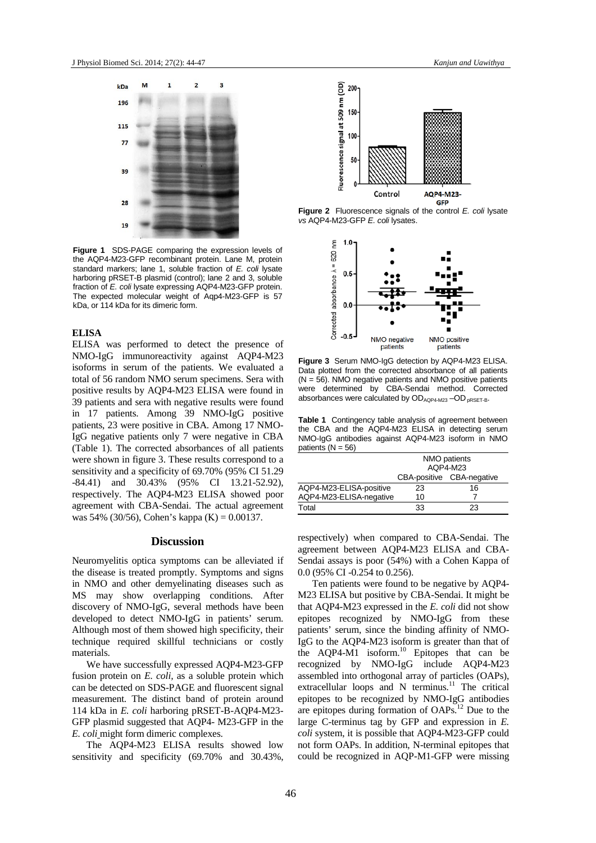

**Figure 1** SDS-PAGE comparing the expression levels of the AQP4-M23-GFP recombinant protein. Lane M, protein standard markers; lane 1, soluble fraction of *E. coli* lysate harboring pRSET-B plasmid (control); lane 2 and 3, soluble fraction of *E. coli* lysate expressing AQP4-M23-GFP protein. The expected molecular weight of Aqp4-M23-GFP is 57 kDa, or 114 kDa for its dimeric form.

# **ELISA**

ELISA was performed to detect the presence of NMO-IgG immunoreactivity against AQP4-M23 isoforms in serum of the patients. We evaluated a total of 56 random NMO serum specimens. Sera with positive results by AQP4-M23 ELISA were found in 39 patients and sera with negative results were found in 17 patients. Among 39 NMO-IgG positive patients, 23 were positive in CBA. Among 17 NMO-IgG negative patients only 7 were negative in CBA (Table 1). The corrected absorbances of all patients were shown in figure 3. These results correspond to a sensitivity and a specificity of 69.70% (95% CI 51.29 -84.41) and 30.43% (95% CI 13.21-52.92), respectively. The AQP4-M23 ELISA showed poor agreement with CBA-Sendai. The actual agreement was 54% (30/56), Cohen's kappa (K) = 0.00137.

# **Discussion**

Neuromyelitis optica symptoms can be alleviated if the disease is treated promptly. Symptoms and signs in NMO and other demyelinating diseases such as MS may show overlapping conditions. After discovery of NMO-IgG, several methods have been developed to detect NMO-IgG in patients' serum. Although most of them showed high specificity, their technique required skillful technicians or costly materials.

We have successfully expressed AQP4-M23-GFP fusion protein on *E. coli,* as a soluble protein which can be detected on SDS-PAGE and fluorescent signal measurement. The distinct band of protein around 114 kDa in *E. coli* harboring pRSET-B-AQP4-M23- GFP plasmid suggested that AQP4- M23-GFP in the *E. coli* might form dimeric complexes.

The AQP4-M23 ELISA results showed low sensitivity and specificity (69.70% and 30.43%,



**Figure 2** Fluorescence signals of the control *E. coli* lysate *vs* AQP4-M23-GFP *E. coli* lysates.



**Figure 3** Serum NMO-IgG detection by AQP4-M23 ELISA. Data plotted from the corrected absorbance of all patients  $(N = 56)$ . NMO negative patients and NMO positive patients were determined by CBA-Sendai method. Corrected absorbances were calculated by  $OD<sub>AQP4-M23</sub> - OD<sub>DRSET-B</sub>$ .

**Table 1** Contingency table analysis of agreement between the CBA and the AQP4-M23 ELISA in detecting serum NMO-IgG antibodies against AQP4-M23 isoform in NMO patients  $(N = 56)$ 

|                         | NMO patients<br>AQP4-M23 |                           |
|-------------------------|--------------------------|---------------------------|
|                         |                          |                           |
|                         |                          | CBA-positive CBA-negative |
| AQP4-M23-ELISA-positive | 23                       | 16                        |
| AQP4-M23-ELISA-negative | 10                       |                           |
| Total                   | 33                       | 23                        |
|                         |                          |                           |

respectively) when compared to CBA-Sendai. The agreement between AQP4-M23 ELISA and CBA-Sendai assays is poor (54%) with a Cohen Kappa of 0.0 (95% CI -0.254 to 0.256).

Ten patients were found to be negative by AQP4- M23 ELISA but positive by CBA-Sendai. It might be that AQP4-M23 expressed in the *E. coli* did not show epitopes recognized by NMO-IgG from these patients' serum, since the binding affinity of NMO-IgG to the AQP4-M23 isoform is greater than that of the AQP4-M1 isoform. <sup>10</sup> Epitopes that can be recognized by NMO-IgG include AQP4-M23 assembled into orthogonal array of particles (OAPs), extracellular loops and N terminus.<sup>11</sup> The critical epitopes to be recognized by NMO-IgG antibodies are epitopes during formation of OAPs. <sup>12</sup> Due to the large C-terminus tag by GFP and expression in *E. coli* system, it is possible that AQP4-M23-GFP could not form OAPs. In addition, N-terminal epitopes that could be recognized in AQP-M1-GFP were missing